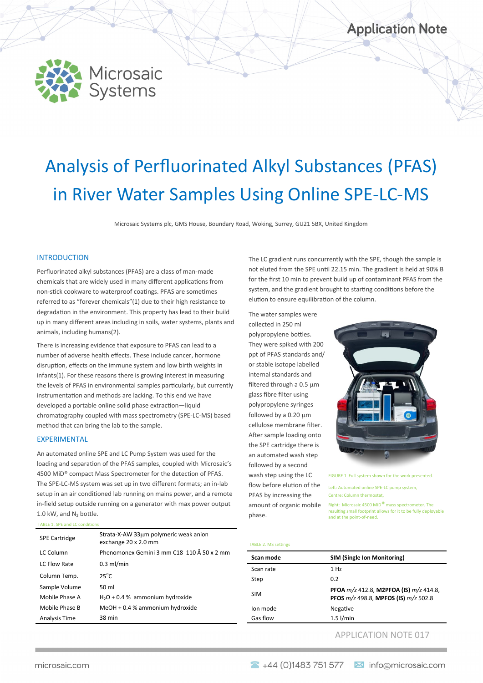

# Analysis of Perfluorinated Alkyl Substances (PFAS) in River Water Samples Using Online SPE-LC-MS

Microsaic Systems plc, GMS House, Boundary Road, Woking, Surrey, GU21 5BX, United Kingdom

#### INTRODUCTION

Perfluorinated alkyl substances (PFAS) are a class of man-made chemicals that are widely used in many different applications from non-stick cookware to waterproof coatings. PFAS are sometimes referred to as "forever chemicals"(1) due to their high resistance to degradation in the environment. This property has lead to their build up in many different areas including in soils, water systems, plants and animals, including humans(2).

There is increasing evidence that exposure to PFAS can lead to a number of adverse health effects. These include cancer, hormone disruption, effects on the immune system and low birth weights in infants(1). For these reasons there is growing interest in measuring the levels of PFAS in environmental samples particularly, but currently instrumentation and methods are lacking. To this end we have developed a portable online solid phase extraction—liquid chromatography coupled with mass spectrometry (SPE-LC-MS) based method that can bring the lab to the sample.

#### EXPERIMENTAL

An automated online SPE and LC Pump System was used for the loading and separation of the PFAS samples, coupled with Microsaic's 4500 MiD® compact Mass Spectrometer for the detection of PFAS. The SPE-LC-MS system was set up in two different formats; an in-lab setup in an air conditioned lab running on mains power, and a remote in-field setup outside running on a generator with max power output 1.0 kW, and  $N_2$  bottle.

TABLE 1. SPE and LC conditions

| <b>SPE Cartridge</b> | Strata-X-AW 33um polymeric weak anion<br>exchange 20 x 2.0 mm |
|----------------------|---------------------------------------------------------------|
| <b>LC Column</b>     | Phenomonex Gemini 3 mm C18 110 Å 50 x 2 mm                    |
| LC Flow Rate         | $0.3$ ml/min                                                  |
| Column Temp.         | $25^{\circ}$ C                                                |
| Sample Volume        | 50 ml                                                         |
| Mobile Phase A       | $H2O + 0.4$ % ammonium hydroxide                              |
| Mobile Phase B       | MeOH + 0.4 % ammonium hydroxide                               |
| Analysis Time        | 38 min                                                        |

The LC gradient runs concurrently with the SPE, though the sample is not eluted from the SPE until 22.15 min. The gradient is held at 90% B for the first 10 min to prevent build up of contaminant PFAS from the system, and the gradient brought to starting conditions before the elution to ensure equilibration of the column.

The water samples were collected in 250 ml polypropylene bottles. They were spiked with 200 ppt of PFAS standards and/ or stable isotope labelled internal standards and filtered through a  $0.5 \mu m$ glass fibre filter using polypropylene syringes followed by a  $0.20 \mu m$ cellulose membrane filter. After sample loading onto the SPE cartridge there is an automated wash step followed by a second wash step using the LC flow before elution of the PFAS by increasing the amount of organic mobile phase.



FIGURE 1 Full system shown for the work presented.

Left: Automated online SPE-LC pump system, Centre: Column thermostat,

Right: Microsaic 4500 MiD® mass spectrometer. The resulting small footprint allows for it to be fully deployable and at the point-of-need.

#### TABLE 2. MS settings

| Scan mode  | <b>SIM (Single Ion Monitoring)</b>                                             |
|------------|--------------------------------------------------------------------------------|
|            |                                                                                |
| Scan rate  | 1 Hz                                                                           |
| Step       | 0.2                                                                            |
| <b>SIM</b> | PFOA m/z 412.8, M2PFOA (IS) m/z 414.8,<br>PFOS m/z 498.8, MPFOS (IS) m/z 502.8 |
| Ion mode   | Negative                                                                       |
| Gas flow   | $1.5$ l/min                                                                    |
|            |                                                                                |

### APPLICATION NOTE 017